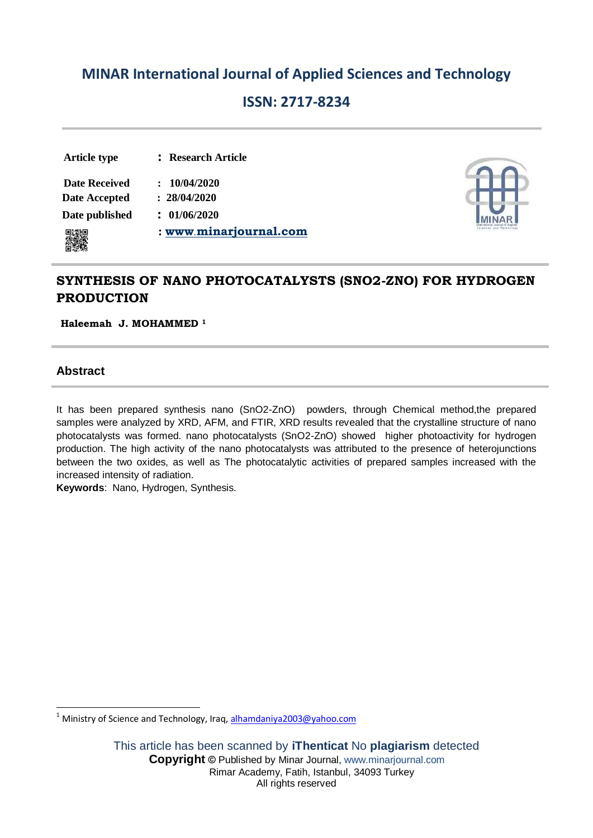# **MINAR International Journal of Applied Sciences and Technology**

# **ISSN: 2717-8234**

# **Article type : Research Article**

 **Date Received : 10/04/2020 Date Accepted : 28/04/2020**

 **Date published : 01/06/2020**

**: [www](http://www.ijler.net/)**.**minarjournal.com**



# **SYNTHESIS OF NANO PHOTOCATALYSTS (SNO2-ZNO) FOR HYDROGEN PRODUCTION**

**Haleemah J. MOHAMMED <sup>1</sup>**

# **Abstract**

It has been prepared synthesis nano (SnO2-ZnO) powders, through Chemical method,the prepared samples were analyzed by XRD, AFM, and FTIR, XRD results revealed that the crystalline structure of nano photocatalysts was formed. nano photocatalysts (SnO2-ZnO) showed higher photoactivity for hydrogen production. The high activity of the nano photocatalysts was attributed to the presence of heterojunctions between the two oxides, as well as The photocatalytic activities of prepared samples increased with the increased intensity of radiation.

**Keywords**: Nano, Hydrogen, Synthesis.

**<sup>.</sup>** <sup>1</sup> Ministry of Science and Technology, Iraq[, alhamdaniya2003@yahoo.com](mailto:alhamdaniya2003@yahoo.com)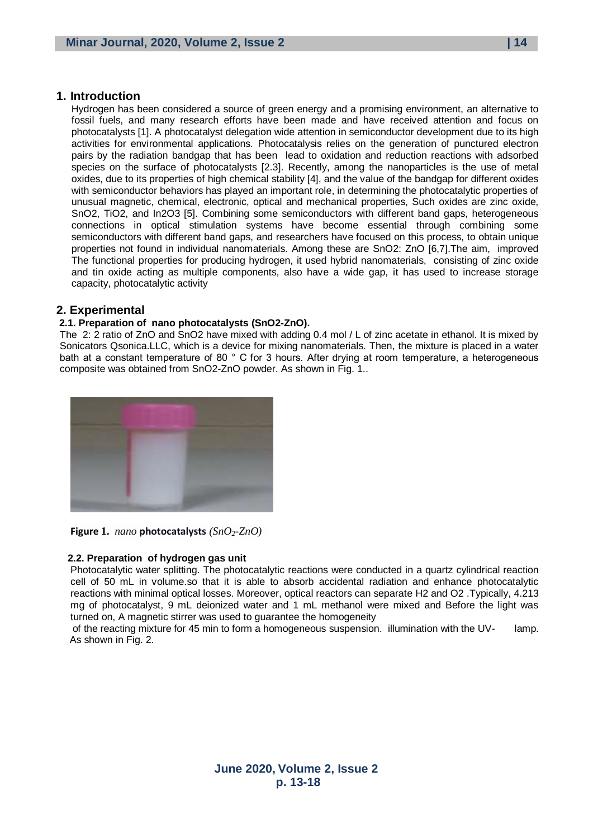## **1. Introduction**

Hydrogen has been considered a source of green energy and a promising environment, an alternative to fossil fuels, and many research efforts have been made and have received attention and focus on photocatalysts [1]. A photocatalyst delegation wide attention in semiconductor development due to its high activities for environmental applications. Photocatalysis relies on the generation of punctured electron pairs by the radiation bandgap that has been lead to oxidation and reduction reactions with adsorbed species on the surface of photocatalysts [2.3]. Recently, among the nanoparticles is the use of metal oxides, due to its properties of high chemical stability [4], and the value of the bandgap for different oxides with semiconductor behaviors has played an important role, in determining the photocatalytic properties of unusual magnetic, chemical, electronic, optical and mechanical properties, Such oxides are zinc oxide, SnO2, TiO2, and In2O3 [5]. Combining some semiconductors with different band gaps, heterogeneous connections in optical stimulation systems have become essential through combining some semiconductors with different band gaps, and researchers have focused on this process, to obtain unique properties not found in individual nanomaterials. Among these are SnO2: ZnO [6,7].The aim, improved The functional properties for producing hydrogen, it used hybrid nanomaterials, consisting of zinc oxide and tin oxide acting as multiple components, also have a wide gap, it has used to increase storage capacity, photocatalytic activity

## **2. Experimental**

#### **2.1. Preparation of nano photocatalysts (SnO2-ZnO).**

The 2: 2 ratio of ZnO and SnO2 have mixed with adding 0.4 mol / L of zinc acetate in ethanol. It is mixed by Sonicators Qsonica.LLC, which is a device for mixing nanomaterials. Then, the mixture is placed in a water bath at a constant temperature of 80 ° C for 3 hours. After drying at room temperature, a heterogeneous composite was obtained from SnO2-ZnO powder. As shown in Fig. 1..



**Figure 1.** *nano* **photocatalysts** *(SnO2-ZnO)*

#### **2.2. Preparation of hydrogen gas unit**

Photocatalytic water splitting. The photocatalytic reactions were conducted in a quartz cylindrical reaction cell of 50 mL in volume.so that it is able to absorb accidental radiation and enhance photocatalytic reactions with minimal optical losses. Moreover, optical reactors can separate H2 and O2 .Typically, 4.213 mg of photocatalyst, 9 mL deionized water and 1 mL methanol were mixed and Before the light was turned on, A magnetic stirrer was used to guarantee the homogeneity

of the reacting mixture for 45 min to form a homogeneous suspension. illumination with the UV- lamp. As shown in Fig. 2.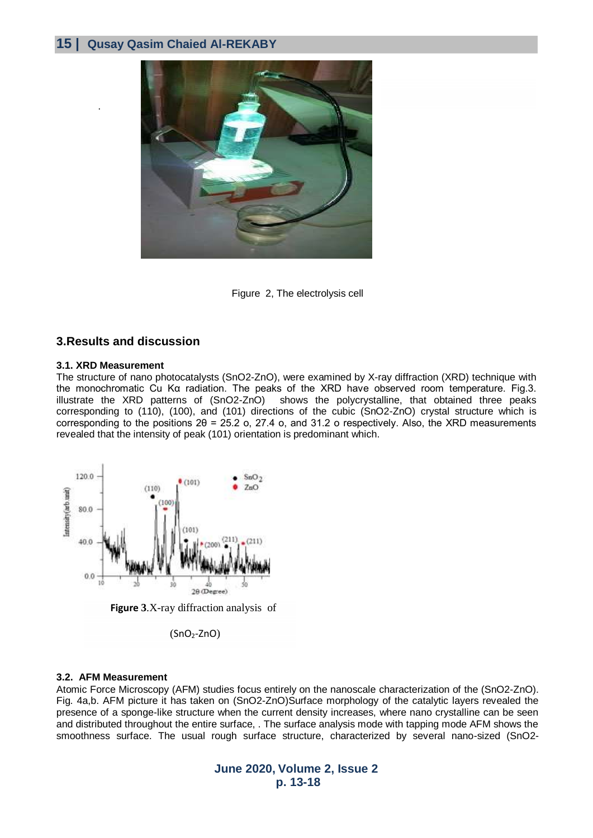## **15 | Qusay Qasim Chaied Al-REKABY**



Figure 2, The electrolysis cell

### **3.Results and discussion**

#### **3.1. XRD Measurement**

.

The structure of nano photocatalysts (SnO2-ZnO), were examined by X-ray diffraction (XRD) technique with the monochromatic Cu Kα radiation. The peaks of the XRD have observed room temperature. Fig.3. illustrate the XRD patterns of (SnO2-ZnO) shows the polycrystalline, that obtained three peaks corresponding to (110), (100), and (101) directions of the cubic (SnO2-ZnO) crystal structure which is corresponding to the positions 2θ = 25.2 o, 27.4 o, and 31.2 o respectively. Also, the XRD measurements revealed that the intensity of peak (101) orientation is predominant which.



**Figure 3**.X-ray diffraction analysis of

 $(SnO<sub>2</sub>-ZnO)$ 

### **3.2. AFM Measurement**

Atomic Force Microscopy (AFM) studies focus entirely on the nanoscale characterization of the (SnO2-ZnO). Fig. 4a,b. AFM picture it has taken on (SnO2-ZnO)Surface morphology of the catalytic layers revealed the presence of a sponge-like structure when the current density increases, where nano crystalline can be seen and distributed throughout the entire surface, . The surface analysis mode with tapping mode AFM shows the smoothness surface. The usual rough surface structure, characterized by several nano-sized (SnO2-

> **June 2020, Volume 2, Issue 2 p. 13-18**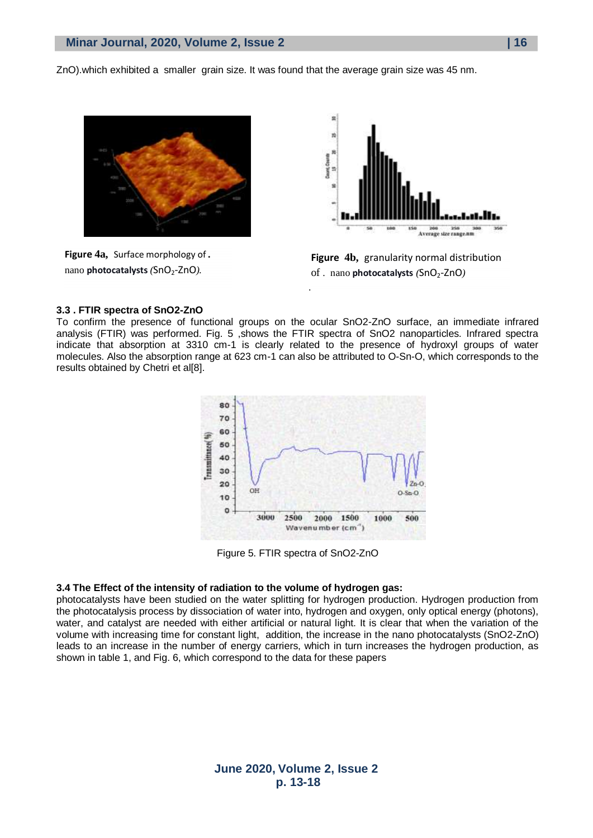ZnO).which exhibited a smaller grain size. It was found that the average grain size was 45 nm.



.

**Figure 4a,** Surface morphology of **.** nano **photocatalysts** *(SnO<sub>2</sub>-ZnO)*.



**Figure 4b,** granularity normal distribution of . nano **photocatalysts**  $(SnO<sub>2</sub>-ZnO)$ 

#### **3.3 . FTIR spectra of SnO2-ZnO**

To confirm the presence of functional groups on the ocular SnO2-ZnO surface, an immediate infrared analysis (FTIR) was performed. Fig. 5, shows the FTIR spectra of SnO2 nanoparticles. Infrared spectra indicate that absorption at 3310 cm-1 is clearly related to the presence of hydroxyl groups of water molecules. Also the absorption range at 623 cm-1 can also be attributed to O-Sn-O, which corresponds to the results obtained by Chetri et al[8].



Figure 5. FTIR spectra of SnO2-ZnO

#### **3.4 The Effect of the intensity of radiation to the volume of hydrogen gas:**

photocatalysts have been studied on the water splitting for hydrogen production. Hydrogen production from the photocatalysis process by dissociation of water into, hydrogen and oxygen, only optical energy (photons), water, and catalyst are needed with either artificial or natural light. It is clear that when the variation of the volume with increasing time for constant light, addition, the increase in the nano photocatalysts (SnO2-ZnO) leads to an increase in the number of energy carriers, which in turn increases the hydrogen production, as shown in table 1, and Fig. 6, which correspond to the data for these papers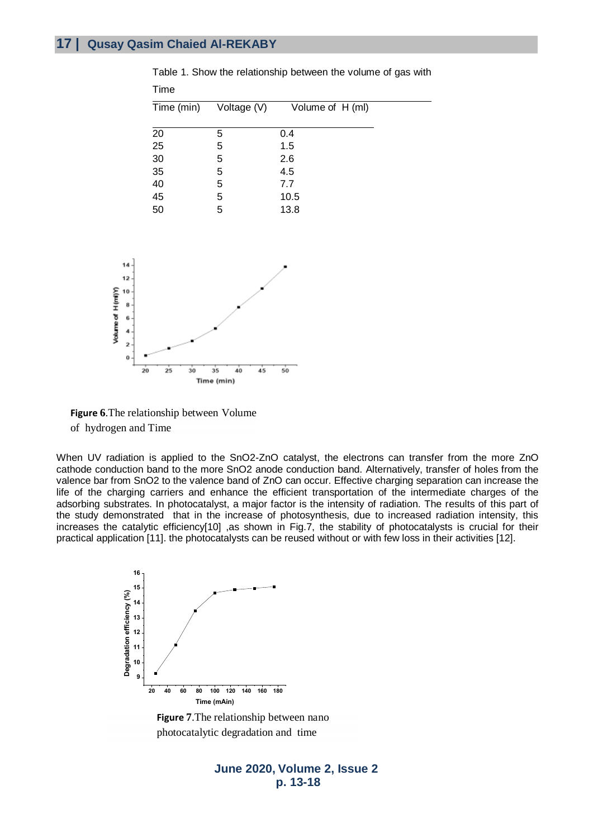| Time (min) | Voltage (V) | Volume of H (ml) |
|------------|-------------|------------------|
|            |             |                  |
| 20         | 5           | 0.4              |
| 25         | 5           | 1.5              |
| 30         | 5           | 2.6              |
| 35         | 5           | 4.5              |
| 40<br>45   | 5           | 7.7              |
|            | 5           | 10.5             |
| 50         | 5           | 13.8             |
|            |             |                  |

Table 1. Show the relationship between the volume of gas with Time





When UV radiation is applied to the SnO2-ZnO catalyst, the electrons can transfer from the more ZnO cathode conduction band to the more SnO2 anode conduction band. Alternatively, transfer of holes from the valence bar from SnO2 to the valence band of ZnO can occur. Effective charging separation can increase the life of the charging carriers and enhance the efficient transportation of the intermediate charges of the adsorbing substrates. In photocatalyst, a major factor is the intensity of radiation. The results of this part of the study demonstrated that in the increase of photosynthesis, due to increased radiation intensity, this increases the catalytic efficiency[10] ,as shown in Fig.7, the stability of photocatalysts is crucial for their practical application [11]. the photocatalysts can be reused without or with few loss in their activities [12].



**Figure 7**.The relationship between nano photocatalytic degradation and time

## **June 2020, Volume 2, Issue 2 p. 13-18**